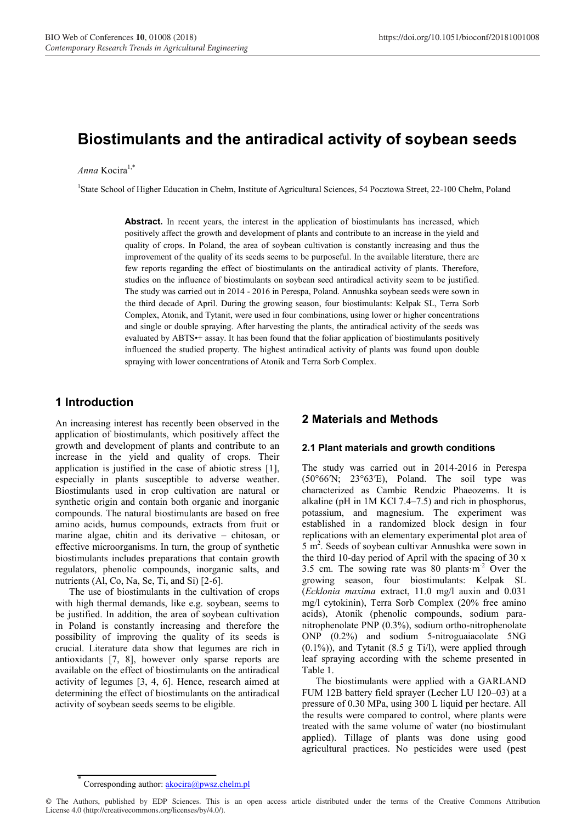# **Biostimulants and the antiradical activity of soybean seeds**

#### *Anna* Kocira1,\*

<sup>1</sup>State School of Higher Education in Chełm, Institute of Agricultural Sciences, 54 Pocztowa Street, 22-100 Chełm, Poland

Abstract. In recent years, the interest in the application of biostimulants has increased, which positively affect the growth and development of plants and contribute to an increase in the yield and quality of crops. In Poland, the area of soybean cultivation is constantly increasing and thus the improvement of the quality of its seeds seems to be purposeful. In the available literature, there are few reports regarding the effect of biostimulants on the antiradical activity of plants. Therefore, studies on the influence of biostimulants on soybean seed antiradical activity seem to be justified. The study was carried out in 2014 - 2016 in Perespa, Poland. Annushka soybean seeds were sown in the third decade of April. During the growing season, four biostimulants: Kelpak SL, Terra Sorb Complex, Atonik, and Tytanit, were used in four combinations, using lower or higher concentrations and single or double spraying. After harvesting the plants, the antiradical activity of the seeds was evaluated by ABTS<sup>++</sup> assay. It has been found that the foliar application of biostimulants positively influenced the studied property. The highest antiradical activity of plants was found upon double spraying with lower concentrations of Atonik and Terra Sorb Complex.

### **1 Introduction**

An increasing interest has recently been observed in the application of biostimulants, which positively affect the growth and development of plants and contribute to an increase in the yield and quality of crops. Their application is justified in the case of abiotic stress [1], especially in plants susceptible to adverse weather. Biostimulants used in crop cultivation are natural or synthetic origin and contain both organic and inorganic compounds. The natural biostimulants are based on free amino acids, humus compounds, extracts from fruit or marine algae, chitin and its derivative – chitosan, or effective microorganisms. In turn, the group of synthetic biostimulants includes preparations that contain growth regulators, phenolic compounds, inorganic salts, and nutrients (Al, Co, Na, Se, Ti, and Si) [2-6].

The use of biostimulants in the cultivation of crops with high thermal demands, like e.g. soybean, seems to be justified. In addition, the area of soybean cultivation in Poland is constantly increasing and therefore the possibility of improving the quality of its seeds is crucial. Literature data show that legumes are rich in antioxidants [7, 8], however only sparse reports are available on the effect of biostimulants on the antiradical activity of legumes [3, 4, 6]. Hence, research aimed at determining the effect of biostimulants on the antiradical activity of soybean seeds seems to be eligible.

### **2 Materials and Methods**

#### **2.1 Plant materials and growth conditions**

The study was carried out in 2014-2016 in Perespa  $(50^{\circ}66'N; 23^{\circ}63'E)$ , Poland. The soil type was characterized as Cambic Rendzic Phaeozems. It is alkaline (pH in 1M KCl 7.4–7.5) and rich in phosphorus, potassium, and magnesium. The experiment was established in a randomized block design in four replications with an elementary experimental plot area of 5 m2 . Seeds of soybean cultivar Annushka were sown in the third 10-day period of April with the spacing of 30 x 3.5 cm. The sowing rate was 80 plants  $m<sup>-2</sup>$  Over the growing season, four biostimulants: Kelpak SL (*Ecklonia maxima* extract, 11.0 mg/l auxin and 0.031 mg/l cytokinin), Terra Sorb Complex (20% free amino acids), Atonik (phenolic compounds, sodium paranitrophenolate PNP (0.3%), sodium ortho-nitrophenolate ONP (0.2%) and sodium 5-nitroguaiacolate 5NG (0.1%)), and Tytanit (8.5 g Ti/l), were applied through leaf spraying according with the scheme presented in Table 1.

The biostimulants were applied with a GARLAND FUM 12B battery field sprayer (Lecher LU 120–03) at a pressure of 0.30 MPa, using 300 L liquid per hectare. All the results were compared to control, where plants were treated with the same volume of water (no biostimulant applied). Tillage of plants was done using good agricultural practices. No pesticides were used (pest

Corresponding author: **akocira@pwsz.chelm.pl** 

<sup>©</sup> The Authors, published by EDP Sciences. This is an open access article distributed under the terms of the Creative Commons Attribution License 4.0 (http://creativecommons.org/licenses/by/4.0/).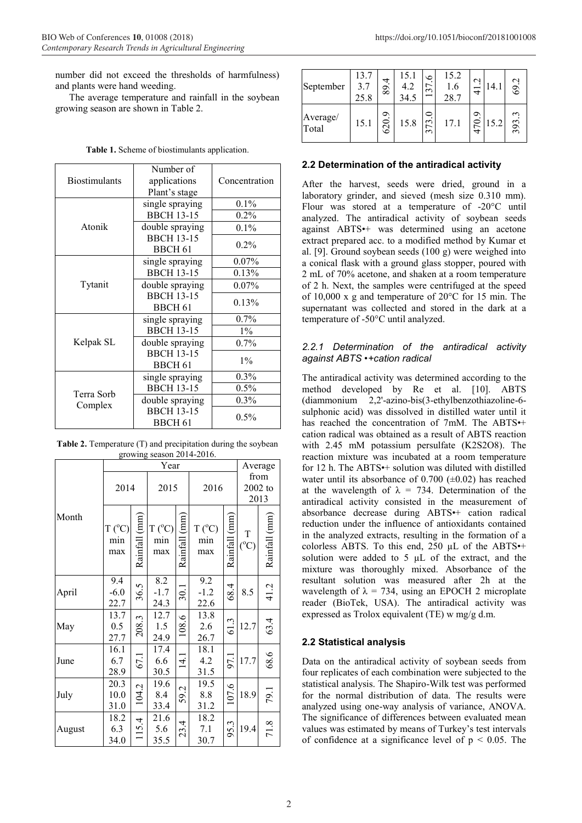number did not exceed the thresholds of harmfulness) and plants were hand weeding.

The average temperature and rainfall in the soybean growing season are shown in Table 2.

| <b>Biostimulants</b> | Number of<br>applications<br>Plant's stage             | Concentration     |  |  |
|----------------------|--------------------------------------------------------|-------------------|--|--|
|                      | single spraying<br><b>BBCH 13-15</b>                   | $0.1\%$<br>0.2%   |  |  |
| Atonik               | double spraying<br><b>BBCH 13-15</b><br><b>BBCH 61</b> | 0.1%<br>$0.2\%$   |  |  |
|                      | single spraying<br><b>BBCH 13-15</b>                   | $0.07\%$<br>0.13% |  |  |
| Tytanit              | double spraying<br><b>BBCH 13-15</b><br><b>BBCH 61</b> | $0.07\%$<br>0.13% |  |  |
|                      | single spraying<br><b>BBCH 13-15</b>                   | $0.7\%$<br>$1\%$  |  |  |
| Kelpak SL            | double spraying<br><b>BBCH 13-15</b><br><b>BBCH 61</b> | $0.7\%$<br>$1\%$  |  |  |
| Terra Sorb           | single spraying<br><b>BBCH 13-15</b>                   | $0.3\%$<br>0.5%   |  |  |
| Complex              | double spraying<br><b>BBCH 13-15</b><br><b>BBCH 61</b> | 0.3%<br>$0.5\%$   |  |  |

**Table 1.** Scheme of biostimulants application.

**Table 2.** Temperature (T) and precipitation during the soybean growing season 2014-2016.

|        | Year                         |               |                              |              |                              |               | Average                   |               |
|--------|------------------------------|---------------|------------------------------|--------------|------------------------------|---------------|---------------------------|---------------|
|        | 2014                         |               | 2015                         |              | 2016                         |               | from<br>$2002$ to<br>2013 |               |
| Month  | $T(^{\circ}C)$<br>min<br>max | Rainfall (mm) | $T(^{\circ}C)$<br>min<br>max | Rainfall (mm | $T(^{\circ}C)$<br>min<br>max | Rainfall (mm) | $T$<br>(°C)               | Rainfall (mm) |
| April  | 9.4<br>$-6.0$<br>22.7        | 36.5          | 8.2<br>$-1.7$<br>24.3        | 30.1         | 9.2<br>$-1.2$<br>22.6        | 68.4          | 8.5                       | 41.2          |
| May    | 13.7<br>0.5<br>27.7          | 208.3         | 12.7<br>1.5<br>24.9          | 108.6        | 13.8<br>2.6<br>26.7          | 61.3          | 12.7                      | 63.4          |
| June   | 16.1<br>6.7<br>28.9          | 67.1          | 17.4<br>6.6<br>30.5          | 14.1         | 18.1<br>4.2<br>31.5          | 97.1          | 17.7                      | 68.6          |
| July   | 20.3<br>10.0<br>31.0         | 104.2         | 19.6<br>8.4<br>33.4          | 59.2         | 19.5<br>8.8<br>31.2          | 107.6         | 18.9                      | <b>19.1</b>   |
| August | 18.2<br>6.3<br>34.0          | 115.4         | 21.6<br>5.6<br>35.5          | 23.4         | 18.2<br>7.1<br>30.7          | 95.3          | 19.4                      | 71.8          |

| September         | 13.7<br>3.7<br>25.8 | 89       | 15.1<br>4.2<br>34.5 | ७<br>37     | 15.2<br>1.6<br>28.7 | $\sim$<br>⊣ | 14.  | 3   |
|-------------------|---------------------|----------|---------------------|-------------|---------------------|-------------|------|-----|
| Average/<br>Total | 15.1                | ⌒<br>620 | 15.8                | 3<br>$\sim$ | 17.1                | o           | 15.2 | 393 |

#### **2.2 Determination of the antiradical activity**

After the harvest, seeds were dried, ground in a laboratory grinder, and sieved (mesh size 0.310 mm). Flour was stored at a temperature of -20°C until analyzed. The antiradical activity of soybean seeds against ABTS•+ was determined using an acetone extract prepared acc. to a modified method by Kumar et al. [9]. Ground soybean seeds (100 g) were weighed into a conical flask with a ground glass stopper, poured with 2 mL of 70% acetone, and shaken at a room temperature of 2 h. Next, the samples were centrifuged at the speed of 10,000 x g and temperature of 20°C for 15 min. The supernatant was collected and stored in the dark at a temperature of -50°C until analyzed.

#### *2.2.1 Determination of the antiradical activity against ABTS •+cation radical*

The antiradical activity was determined according to the method developed by Re et al. [10]. ABTS (diammonium 2,2'-azino-bis(3-ethylbenzothiazoline-6 sulphonic acid) was dissolved in distilled water until it has reached the concentration of 7mM. The ABTS•+ cation radical was obtained as a result of ABTS reaction with 2.45 mM potassium persulfate (K2S2O8). The reaction mixture was incubated at a room temperature for 12 h. The ABTS•+ solution was diluted with distilled water until its absorbance of  $0.700$  ( $\pm$ 0.02) has reached at the wavelength of  $\lambda = 734$ . Determination of the antiradical activity consisted in the measurement of absorbance decrease during ABTS•+ cation radical reduction under the influence of antioxidants contained in the analyzed extracts, resulting in the formation of a colorless ABTS. To this end, 250 µL of the ABTS•+ solution were added to  $5 \mu L$  of the extract, and the mixture was thoroughly mixed. Absorbance of the resultant solution was measured after 2h at the wavelength of  $\lambda = 734$ , using an EPOCH 2 microplate reader (BioTek, USA). The antiradical activity was expressed as Trolox equivalent (TE) w mg/g d.m.

#### **2.2 Statistical analysis**

Data on the antiradical activity of soybean seeds from four replicates of each combination were subjected to the statistical analysis. The Shapiro-Wilk test was performed for the normal distribution of data. The results were analyzed using one-way analysis of variance, ANOVA. The significance of differences between evaluated mean values was estimated by means of Turkey's test intervals of confidence at a significance level of  $p < 0.05$ . The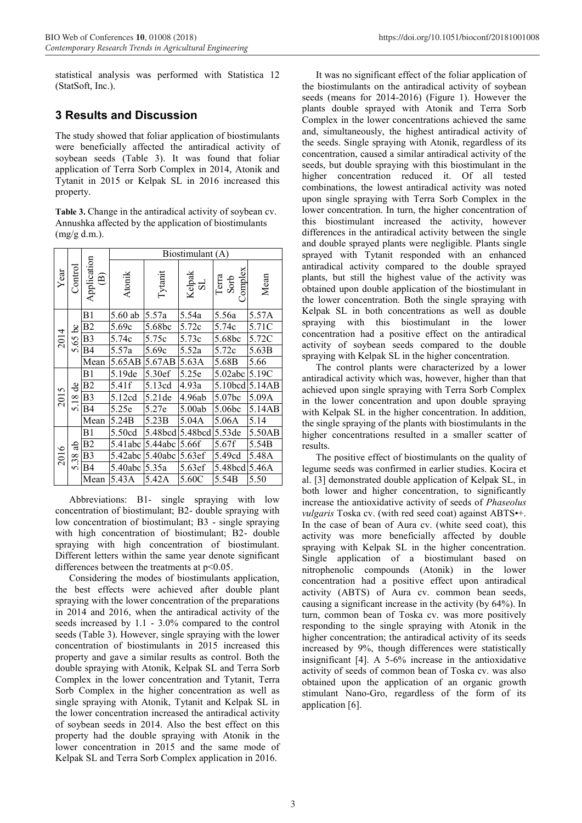statistical analysis was performed with Statistica 12 (StatSoft, Inc.).

# **3 Results and Discussion**

The study showed that foliar application of biostimulants were beneficially affected the antiradical activity of soybean seeds (Table 3). It was found that foliar application of Terra Sorb Complex in 2014, Atonik and Tytanit in 2015 or Kelpak SL in 2016 increased this property.

**Table 3.** Change in the antiradical activity of soybean cv. Annushka affected by the application of biostimulants (mg/g d.m.).

|      | Control        | Application<br>(B) | Biostimulant (A) |         |              |                          |        |  |  |  |
|------|----------------|--------------------|------------------|---------|--------------|--------------------------|--------|--|--|--|
| Year |                |                    | Atonik           | Tytanit | Kelpak<br>SL | Terra<br>Sorb<br>Somplex | Mean   |  |  |  |
| 2014 | $\frac{6}{36}$ | B1                 | 5.60 ab          | 5.57a   | 5.54a        | 5.56a                    | 5.57A  |  |  |  |
|      |                | B <sub>2</sub>     | 5.69c            | 5.68bc  | 5.72c        | 5.74c                    | 5.71C  |  |  |  |
|      |                |                    | 5.74c            | 5.75c   | 5.73c        | 5.68bc                   | 5.72C  |  |  |  |
|      |                |                    | 5.57a            | 5.69c   | 5.52a        | 5.72c                    | 5.63B  |  |  |  |
|      |                | Mean               | 5.65AB           | 5.67AB  | 5.63A        | 5.68B                    | 5.66   |  |  |  |
|      | ಕಿ<br>5.18     | B1                 | 5.19de           | 5.30ef  | 5.25e        | 5.02abc                  | 5.19C  |  |  |  |
|      |                | B <sub>2</sub>     | 5.41f            | 5.13cd  | 4.93a        | 5.10bcd                  | 5.14AB |  |  |  |
| 2015 |                | B <sub>3</sub>     | 5.12cd           | 5.21de  | 4.96ab       | 5.07bc                   | 5.09A  |  |  |  |
|      |                | <b>B4</b>          | 5.25e            | 5.27e   | 5.00ab       | 5.06bc                   | 5.14AB |  |  |  |
|      |                | Mean               | 5.24B            | 5.23B   | 5.04A        | 5.06A                    | 5.14   |  |  |  |
| 2016 | ಕೆ<br>5.38     | B1                 | 5.50cd           | 5.48bcd | 5.48bcd      | 5.53de                   | 5.50AB |  |  |  |
|      |                | B <sub>2</sub>     | 5.41abc          | 5.44abc | 5.66f        | 5.67f                    | 5.54B  |  |  |  |
|      |                | B <sub>3</sub>     | 5.42abc          | 5.40abc | 5.63ef       | 5.49cd                   | 5.48A  |  |  |  |
|      |                | B4                 | 5.40abc 5.35a    |         | 5.63ef       | 5.48bcd                  | 5.46A  |  |  |  |
|      |                | Mean               | 5.43A            | 5.42A   | 5.60C        | 5.54B                    | 5.50   |  |  |  |

Abbreviations: B1- single spraying with low concentration of biostimulant; B2- double spraying with low concentration of biostimulant; B3 - single spraying with high concentration of biostimulant; B2- double spraying with high concentration of biostimulant. Different letters within the same year denote significant differences between the treatments at  $p<0.05$ .

Considering the modes of biostimulants application, the best effects were achieved after double plant spraying with the lower concentration of the preparations in 2014 and 2016, when the antiradical activity of the seeds increased by 1.1 - 3.0% compared to the control seeds (Table 3). However, single spraying with the lower concentration of biostimulants in 2015 increased this property and gave a similar results as control. Both the double spraying with Atonik, Kelpak SL and Terra Sorb Complex in the lower concentration and Tytanit, Terra Sorb Complex in the higher concentration as well as single spraying with Atonik, Tytanit and Kelpak SL in the lower concentration increased the antiradical activity of soybean seeds in 2014. Also the best effect on this property had the double spraying with Atonik in the lower concentration in 2015 and the same mode of Kelpak SL and Terra Sorb Complex application in 2016.

It was no significant effect of the foliar application of the biostimulants on the antiradical activity of soybean seeds (means for 2014-2016) (Figure 1). However the plants double sprayed with Atonik and Terra Sorb Complex in the lower concentrations achieved the same and, simultaneously, the highest antiradical activity of the seeds. Single spraying with Atonik, regardless of its concentration, caused a similar antiradical activity of the seeds, but double spraying with this biostimulant in the higher concentration reduced it. Of all tested combinations, the lowest antiradical activity was noted upon single spraying with Terra Sorb Complex in the lower concentration. In turn, the higher concentration of this biostimulant increased the activity, however differences in the antiradical activity between the single and double sprayed plants were negligible. Plants single sprayed with Tytanit responded with an enhanced antiradical activity compared to the double sprayed plants, but still the highest value of the activity was obtained upon double application of the biostimulant in the lower concentration. Both the single spraying with Kelpak SL in both concentrations as well as double spraying with this biostimulant in the lower concentration had a positive effect on the antiradical activity of soybean seeds compared to the double spraying with Kelpak SL in the higher concentration.

The control plants were characterized by a lower antiradical activity which was, however, higher than that achieved upon single spraying with Terra Sorb Complex in the lower concentration and upon double spraying with Kelpak SL in the higher concentration. In addition, the single spraying of the plants with biostimulants in the higher concentrations resulted in a smaller scatter of results.

The positive effect of biostimulants on the quality of legume seeds was confirmed in earlier studies. Kocira et al. [3] demonstrated double application of Kelpak SL, in both lower and higher concentration, to significantly increase the antioxidative activity of seeds of *Phaseolus vulgaris* Toska cv. (with red seed coat) against ABTS•+. In the case of bean of Aura cv. (white seed coat), this activity was more beneficially affected by double spraying with Kelpak SL in the higher concentration. Single application of a biostimulant based on nitrophenolic compounds (Atonik) in the lower concentration had a positive effect upon antiradical activity (ABTS) of Aura cv. common bean seeds, causing a significant increase in the activity (by 64%). In turn, common bean of Toska cv. was more positively responding to the single spraying with Atonik in the higher concentration; the antiradical activity of its seeds increased by 9%, though differences were statistically insignificant [4]. A 5-6% increase in the antioxidative activity of seeds of common bean of Toska cv. was also obtained upon the application of an organic growth stimulant Nano-Gro, regardless of the form of its application [6].